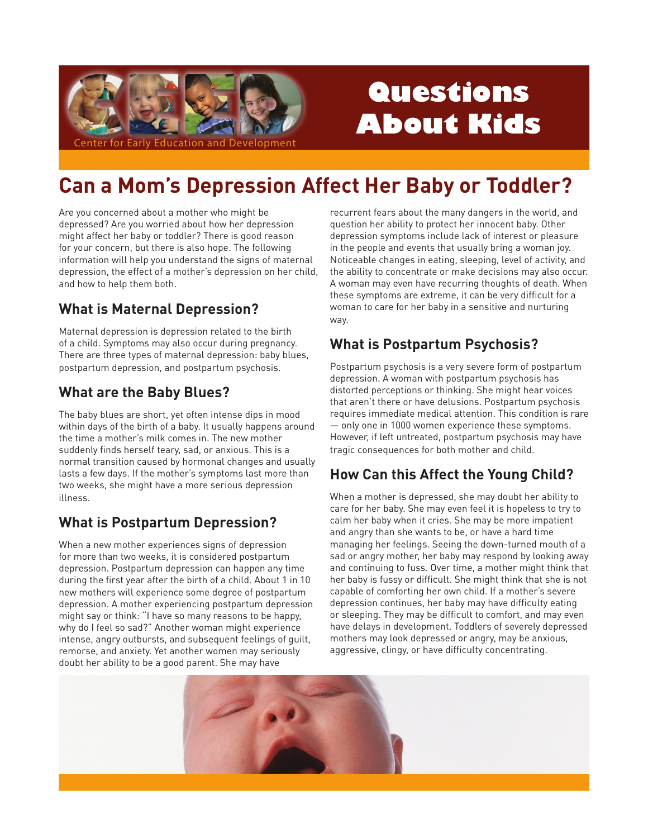

# Questions **About Kids**

# **Can a Mom's Depression Affect Her Baby or Toddler?**

Are you concerned about a mother who might be depressed? Are you worried about how her depression might affect her baby or toddler? There is good reason for your concern, but there is also hope. The following information will help you understand the signs of maternal depression, the effect of a mother's depression on her child, and how to help them both.

## **What is Maternal Depression?**

Maternal depression is depression related to the birth of a child. Symptoms may also occur during pregnancy. There are three types of maternal depression: baby blues, postpartum depression, and postpartum psychosis.

#### **What are the Baby Blues?**

The baby blues are short, yet often intense dips in mood within days of the birth of a baby. It usually happens around the time a mother's milk comes in. The new mother suddenly finds herself teary, sad, or anxious. This is a normal transition caused by hormonal changes and usually lasts a few days. If the mother's symptoms last more than two weeks, she might have a more serious depression illness.

### **What is Postpartum Depression?**

When a new mother experiences signs of depression for more than two weeks, it is considered postpartum depression. Postpartum depression can happen any time during the first year after the birth of a child. About 1 in 10 new mothers will experience some degree of postpartum depression. A mother experiencing postpartum depression might say or think: "I have so many reasons to be happy, why do I feel so sad?" Another woman might experience intense, angry outbursts, and subsequent feelings of quilt, remorse, and anxiety. Yet another women may seriously doubt her ability to be a good parent. She may have

recurrent fears about the many dangers in the world, and question her ability to protect her innocent baby. Other depression symptoms include lack of interest or pleasure in the people and events that usually bring a woman joy. Noticeable changes in eating, sleeping, level of activity, and the ability to concentrate or make decisions may also occur. A woman may even have recurring thoughts of death. When these symptoms are extreme, it can be very difficult for a woman to care for her baby in a sensitive and nurturing way.

# **What is Postpartum Psychosis?**

Postpartum psychosis is a very severe form of postpartum depression. A woman with postpartum psychosis has distorted perceptions or thinking. She might hear voices that aren't there or have delusions. Postpartum psychosis requires immediate medical attention. This condition is rare - only one in 1000 women experience these symptoms. However, if left untreated, postpartum psychosis may have tragic consequences for both mother and child.

### **How Can this Affect the Young Child?**

When a mother is depressed, she may doubt her ability to care for her baby. She may even feel it is hopeless to try to calm her baby when it cries. She may be more impatient and angry than she wants to be, or have a hard time managing her feelings. Seeing the down-turned mouth of a sad or angry mother, her baby may respond by looking away and continuing to fuss. Over time, a mother might think that her baby is fussy or difficult. She might think that she is not capable of comforting her own child. If a mother's severe depression continues, her baby may have difficulty eating or sleeping. They may be difficult to comfort, and may even have delays in development. Toddlers of severely depressed mothers may look depressed or angry, may be anxious, aggressive, clingy, or have difficulty concentrating.